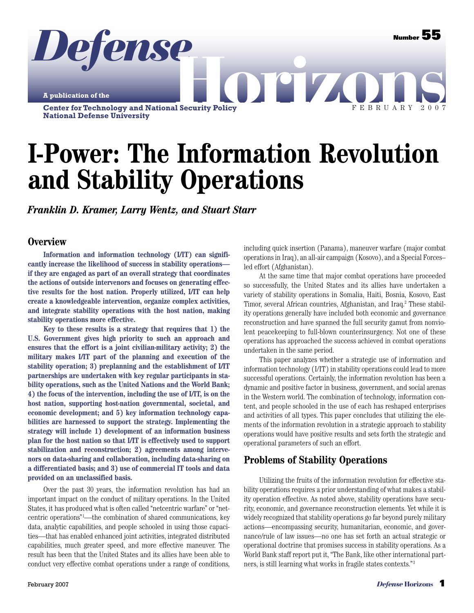Number 55

F E B R U A R Y 2 0 0 7

**A publication of the**

**Center for Technology and National Security Policy National Defense University**

*Defense*

# **I-Power: The Information Revolution and Stability Operations**

## *Franklin D. Kramer, Larry Wentz, and Stuart Starr*

#### **Overview**

**Information and information technology (I/IT) can significantly increase the likelihood of success in stability operations if they are engaged as part of an overall strategy that coordinates the actions of outside intervenors and focuses on generating effective results for the host nation. Properly utilized, I/IT can help create a knowledgeable intervention, organize complex activities, and integrate stability operations with the host nation, making stability operations more effective.**

**Key to these results is a strategy that requires that 1) the U.S. Government gives high priority to such an approach and ensures that the effort is a joint civilian-military activity; 2) the military makes I/IT part of the planning and execution of the stability operation; 3) preplanning and the establishment of I/IT partnerships are undertaken with key regular participants in stability operations, such as the United Nations and the World Bank; 4) the focus of the intervention, including the use of I/IT, is on the host nation, supporting host-nation governmental, societal, and economic development; and 5) key information technology capabilities are harnessed to support the strategy. Implementing the strategy will include 1) development of an information business plan for the host nation so that I/IT is effectively used to support stabilization and reconstruction; 2) agreements among intervenors on data-sharing and collaboration, including data-sharing on a differentiated basis; and 3) use of commercial IT tools and data provided on an unclassified basis.**

Over the past 30 years, the information revolution has had an important impact on the conduct of military operations. In the United States, it has produced what is often called "netcentric warfare" or "netcentric operations"1 —the combination of shared communications, key data, analytic capabilities, and people schooled in using those capacities—that has enabled enhanced joint activities, integrated distributed capabilities, much greater speed, and more effective maneuver. The result has been that the United States and its allies have been able to conduct very effective combat operations under a range of conditions,

including quick insertion (Panama), maneuver warfare (major combat operations in Iraq), an all-air campaign (Kosovo), and a Special Forces– led effort (Afghanistan).

OTTZO

At the same time that major combat operations have proceeded so successfully, the United States and its allies have undertaken a variety of stability operations in Somalia, Haiti, Bosnia, Kosovo, East Timor, several African countries, Afghanistan, and Iraq.<sup>2</sup> These stability operations generally have included both economic and governance reconstruction and have spanned the full security gamut from nonviolent peacekeeping to full-blown counterinsurgency. Not one of these operations has approached the success achieved in combat operations undertaken in the same period.

This paper analyzes whether a strategic use of information and information technology (I/IT) in stability operations could lead to more successful operations. Certainly, the information revolution has been a dynamic and positive factor in business, government, and social arenas in the Western world. The combination of technology, information content, and people schooled in the use of each has reshaped enterprises and activities of all types. This paper concludes that utilizing the elements of the information revolution in a strategic approach to stability operations would have positive results and sets forth the strategic and operational parameters of such an effort.

#### **Problems of Stability Operations**

Utilizing the fruits of the information revolution for effective stability operations requires a prior understanding of what makes a stability operation effective. As noted above, stability operations have security, economic, and governance reconstruction elements. Yet while it is widely recognized that stability operations go far beyond purely military actions—encompassing security, humanitarian, economic, and governance/rule of law issues—no one has set forth an actual strategic or operational doctrine that promises success in stability operations. As a World Bank staff report put it, "The Bank, like other international partners, is still learning what works in fragile states contexts."3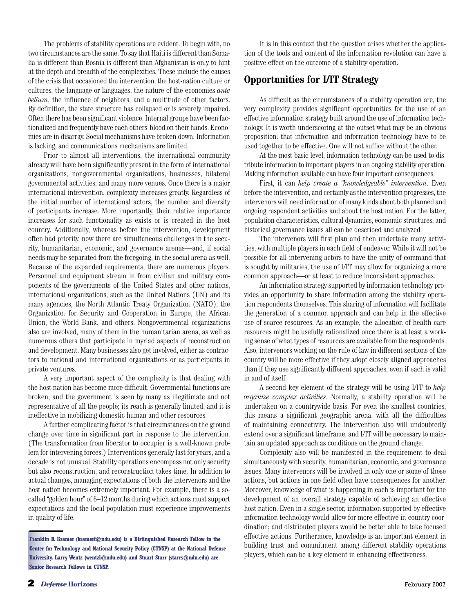The problems of stability operations are evident. To begin with, no two circumstances are the same. To say that Haiti is different than Somalia is different than Bosnia is different than Afghanistan is only to hint at the depth and breadth of the complexities. These include the causes of the crisis that occasioned the intervention, the host-nation culture or cultures, the language or languages, the nature of the economies *ante bellum*, the influence of neighbors, and a multitude of other factors. By definition, the state structure has collapsed or is severely impaired. Often there has been significant violence. Internal groups have been factionalized and frequently have each others' blood on their hands. Economies are in disarray. Social mechanisms have broken down. Information is lacking, and communications mechanisms are limited.

Prior to almost all interventions, the international community already will have been significantly present in the form of international organizations, nongovernmental organizations, businesses, bilateral governmental activities, and many more venues. Once there is a major international intervention, complexity increases greatly. Regardless of the initial number of international actors, the number and diversity of participants increase. More importantly, their relative importance increases for such functionality as exists or is created in the host country. Additionally, whereas before the intervention, development often had priority, now there are simultaneous challenges in the security, humanitarian, economic, and governance arenas—and, if social needs may be separated from the foregoing, in the social arena as well. Because of the expanded requirements, there are numerous players. Personnel and equipment stream in from civilian and military components of the governments of the United States and other nations, international organizations, such as the United Nations (UN) and its many agencies, the North Atlantic Treaty Organization (NATO), the Organization for Security and Cooperation in Europe, the African Union, the World Bank, and others. Nongovernmental organizations also are involved, many of them in the humanitarian arena, as well as numerous others that participate in myriad aspects of reconstruction and development. Many businesses also get involved, either as contractors to national and international organizations or as participants in private ventures.

A very important aspect of the complexity is that dealing with the host nation has become more difficult. Governmental functions are broken, and the government is seen by many as illegitimate and not representative of all the people; its reach is generally limited, and it is ineffective in mobilizing domestic human and other resources.

A further complicating factor is that circumstances on the ground change over time in significant part in response to the intervention. (The transformation from liberator to occupier is a well-known problem for intervening forces.) Interventions generally last for years, and a decade is not unusual. Stability operations encompass not only security but also reconstruction, and reconstruction takes time. In addition to actual changes, managing expectations of both the intervenors and the host nation becomes extremely important. For example, there is a socalled "golden hour" of 6–12 months during which actions must support expectations and the local population must experience improvements in quality of life.

It is in this context that the question arises whether the application of the tools and content of the information revolution can have a positive effect on the outcome of a stability operation.

## **Opportunities for I/IT Strategy**

As difficult as the circumstances of a stability operation are, the very complexity provides significant opportunities for the use of an effective information strategy built around the use of information technology. It is worth underscoring at the outset what may be an obvious proposition: that information and information technology have to be used together to be effective. One will not suffice without the other.

At the most basic level, information technology can be used to distribute information to important players in an ongoing stability operation. Making information available can have four important consequences.

First, it can *help create a "knowledgeable" intervention*. Even before the intervention, and certainly as the intervention progresses, the intervenors will need information of many kinds about both planned and ongoing respondent activities and about the host nation. For the latter, population characteristics, cultural dynamics, economic structures, and historical governance issues all can be described and analyzed.

The intervenors will first plan and then undertake many activities, with multiple players in each field of endeavor. While it will not be possible for all intervening actors to have the unity of command that is sought by militaries, the use of I/IT may allow for organizing a more common approach—or at least to reduce inconsistent approaches.

An information strategy supported by information technology provides an opportunity to share information among the stability operation respondents themselves. This sharing of information will facilitate the generation of a common approach and can help in the effective use of scarce resources. As an example, the allocation of health care resources might be usefully rationalized once there is at least a working sense of what types of resources are available from the respondents. Also, intervenors working on the rule of law in different sections of the country will be more effective if they adopt closely aligned approaches than if they use significantly different approaches, even if each is valid in and of itself.

A second key element of the strategy will be using I/IT to *help organize complex activities*. Normally, a stability operation will be undertaken on a countrywide basis. For even the smallest countries, this means a significant geographic arena, with all the difficulties of maintaining connectivity. The intervention also will undoubtedly extend over a significant timeframe, and I/IT will be necessary to maintain an updated approach as conditions on the ground change.

Complexity also will be manifested in the requirement to deal simultaneously with security, humanitarian, economic, and governance issues. Many intervenors will be involved in only one or some of these actions, but actions in one field often have consequences for another. Moreover, knowledge of what is happening in each is important for the development of an overall strategy capable of achieving an effective host nation. Even in a single sector, information supported by effective information technology would allow for more effective in-country coordination; and distributed players would be better able to take focused effective actions. Furthermore, knowledge is an important element in building trust and commitment among different stability operations players, which can be a key element in enhancing effectiveness.

**Franklin D. Kramer [\(kramerf@ndu.edu\)](mailto:kramerf@ndu.edu) is a Distinguished Research Fellow in the Center for Technology and National Security Policy (CTNSP) at the National Defense University. Larry Wentz [\(wentzl@ndu.edu\)](mailto:wentzl@ndu.edu) and Stuart Starr ([starrs@ndu.edu\)](mailto:starrs@ndu.edu) are Senior Research Fellows in CTNSP.**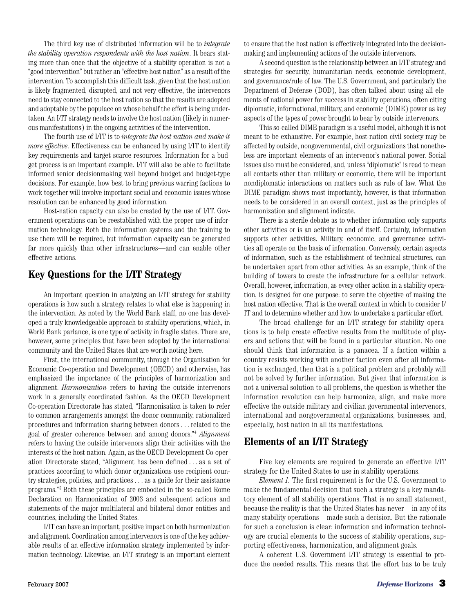The third key use of distributed information will be to *integrate the stability operation respondents with the host nation*. It bears stating more than once that the objective of a stability operation is not a "good intervention" but rather an "effective host nation" as a result of the intervention. To accomplish this difficult task, given that the host nation is likely fragmented, disrupted, and not very effective, the intervenors need to stay connected to the host nation so that the results are adopted and adoptable by the populace on whose behalf the effort is being undertaken. An I/IT strategy needs to involve the host nation (likely in numerous manifestations) in the ongoing activities of the intervention.

The fourth use of I/IT is to *integrate the host nation and make it more effective*. Effectiveness can be enhanced by using I/IT to identify key requirements and target scarce resources. Information for a budget process is an important example. I/IT will also be able to facilitate informed senior decisionmaking well beyond budget and budget-type decisions. For example, how best to bring previous warring factions to work together will involve important social and economic issues whose resolution can be enhanced by good information.

Host-nation capacity can also be created by the use of I/IT. Government operations can be reestablished with the proper use of information technology. Both the information systems and the training to use them will be required, but information capacity can be generated far more quickly than other infrastructures—and can enable other effective actions.

#### **Key Questions for the I/IT Strategy**

An important question in analyzing an I/IT strategy for stability operations is how such a strategy relates to what else is happening in the intervention. As noted by the World Bank staff, no one has developed a truly knowledgeable approach to stability operations, which, in World Bank parlance, is one type of activity in fragile states. There are, however, some principles that have been adopted by the international community and the United States that are worth noting here.

First, the international community, through the Organisation for Economic Co-operation and Development (OECD) and otherwise, has emphasized the importance of the principles of harmonization and alignment. *Harmonization* refers to having the outside intervenors work in a generally coordinated fashion. As the OECD Development Co-operation Directorate has stated, "Harmonisation is taken to refer to common arrangements amongst the donor community, rationalized procedures and information sharing between donors . . . related to the goal of greater coherence between and among donors."4 *Alignment* refers to having the outside intervenors align their activities with the interests of the host nation. Again, as the OECD Development Co-operation Directorate stated, "Alignment has been defined . . . as a set of practices according to which donor organizations use recipient country strategies, policies, and practices . . . as a guide for their assistance programs."5 Both these principles are embodied in the so-called Rome Declaration on Harmonization of 2003 and subsequent actions and statements of the major multilateral and bilateral donor entities and countries, including the United States.

I/IT can have an important, positive impact on both harmonization and alignment. Coordination among intervenors is one of the key achievable results of an effective information strategy implemented by information technology. Likewise, an I/IT strategy is an important element to ensure that the host nation is effectively integrated into the decisionmaking and implementing actions of the outside intervenors.

A second question is the relationship between an I/IT strategy and strategies for security, humanitarian needs, economic development, and governance/rule of law. The U.S. Government, and particularly the Department of Defense (DOD), has often talked about using all elements of national power for success in stability operations, often citing diplomatic, informational, military, and economic (DIME) power as key aspects of the types of power brought to bear by outside intervenors.

This so-called DIME paradigm is a useful model, although it is not meant to be exhaustive. For example, host-nation civil society may be affected by outside, nongovernmental, civil organizations that nonetheless are important elements of an intervenor's national power. Social issues also must be considered, and, unless "diplomatic" is read to mean all contacts other than military or economic, there will be important nondiplomatic interactions on matters such as rule of law. What the DIME paradigm shows most importantly, however, is that information needs to be considered in an overall context, just as the principles of harmonization and alignment indicate.

There is a sterile debate as to whether information only supports other activities or is an activity in and of itself. Certainly, information supports other activities. Military, economic, and governance activities all operate on the basis of information. Conversely, certain aspects of information, such as the establishment of technical structures, can be undertaken apart from other activities. As an example, think of the building of towers to create the infrastructure for a cellular network. Overall, however, information, as every other action in a stability operation, is designed for one purpose: to serve the objective of making the host nation effective. That is the overall context in which to consider I/ IT and to determine whether and how to undertake a particular effort.

The broad challenge for an I/IT strategy for stability operations is to help create effective results from the multitude of players and actions that will be found in a particular situation. No one should think that information is a panacea. If a faction within a country resists working with another faction even after all information is exchanged, then that is a political problem and probably will not be solved by further information. But given that information is not a universal solution to all problems, the question is whether the information revolution can help harmonize, align, and make more effective the outside military and civilian governmental intervenors, international and nongovernmental organizations, businesses, and, especially, host nation in all its manifestations.

#### **Elements of an I/IT Strategy**

Five key elements are required to generate an effective I/IT strategy for the United States to use in stability operations.

*Element 1.* The first requirement is for the U.S. Government to make the fundamental decision that such a strategy is a key mandatory element of all stability operations. That is no small statement, because the reality is that the United States has never—in any of its many stability operations—made such a decision. But the rationale for such a conclusion is clear: information and information technology are crucial elements to the success of stability operations, supporting effectiveness, harmonization, and alignment goals.

A coherent U.S. Government I/IT strategy is essential to produce the needed results. This means that the effort has to be truly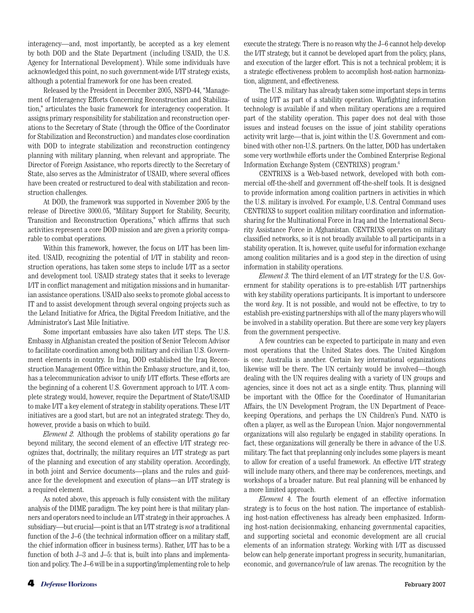interagency—and, most importantly, be accepted as a key element by both DOD and the State Department (including USAID, the U.S. Agency for International Development). While some individuals have acknowledged this point, no such government-wide I/IT strategy exists, although a potential framework for one has been created.

Released by the President in December 2005, NSPD-44, "Management of Interagency Efforts Concerning Reconstruction and Stabilization," articulates the basic framework for interagency cooperation. It assigns primary responsibility for stabilization and reconstruction operations to the Secretary of State (through the Office of the Coordinator for Stabilization and Reconstruction) and mandates close coordination with DOD to integrate stabilization and reconstruction contingency planning with military planning, when relevant and appropriate. The Director of Foreign Assistance, who reports directly to the Secretary of State, also serves as the Administrator of USAID, where several offices have been created or restructured to deal with stabilization and reconstruction challenges.

At DOD, the framework was supported in November 2005 by the release of Directive 3000.05, "Military Support for Stability, Security, Transition and Reconstruction Operations," which affirms that such activities represent a core DOD mission and are given a priority comparable to combat operations.

Within this framework, however, the focus on I/IT has been limited. USAID, recognizing the potential of I/IT in stability and reconstruction operations, has taken some steps to include I/IT as a sector and development tool. USAID strategy states that it seeks to leverage I/IT in conflict management and mitigation missions and in humanitarian assistance operations. USAID also seeks to promote global access to IT and to assist development through several ongoing projects such as the Leland Initiative for Africa, the Digital Freedom Initiative, and the Administrator's Last Mile Initiative.

Some important embassies have also taken I/IT steps. The U.S. Embassy in Afghanistan created the position of Senior Telecom Advisor to facilitate coordination among both military and civilian U.S. Government elements in country. In Iraq, DOD established the Iraq Reconstruction Management Office within the Embassy structure, and it, too, has a telecommunication advisor to unify I/IT efforts. These efforts are the beginning of a coherent U.S. Government approach to I/IT. A complete strategy would, however, require the Department of State/USAID to make I/IT a key element of strategy in stability operations. These I/IT initiatives are a good start, but are not an integrated strategy. They do, however, provide a basis on which to build.

*Element 2.* Although the problems of stability operations go far beyond military, the second element of an effective I/IT strategy recognizes that, doctrinally, the military requires an I/IT strategy as part of the planning and execution of any stability operation. Accordingly, in both joint and Service documents—plans and the rules and guidance for the development and execution of plans—an I/IT strategy is a required element.

As noted above, this approach is fully consistent with the military analysis of the DIME paradigm. The key point here is that military planners and operators need to include an I/IT strategy in their approaches. A subsidiary—but crucial—point is that an I/IT strategy is *not* a traditional function of the J–6 (the technical information officer on a military staff, the chief information officer in business terms). Rather, I/IT has to be a function of both J–3 and J–5: that is, built into plans and implementation and policy. The J–6 will be in a supporting/implementing role to help execute the strategy. There is no reason why the J–6 cannot help develop the I/IT strategy, but it cannot be developed apart from the policy, plans, and execution of the larger effort. This is not a technical problem; it is a strategic effectiveness problem to accomplish host-nation harmonization, alignment, and effectiveness.

The U.S. military has already taken some important steps in terms of using I/IT as part of a stability operation. Warfighting information technology is available if and when military operations are a required part of the stability operation. This paper does not deal with those issues and instead focuses on the issue of joint stability operations activity writ large—that is, joint within the U.S. Government and combined with other non-U.S. partners. On the latter, DOD has undertaken some very worthwhile efforts under the Combined Enterprise Regional Information Exchange System (CENTRIXS) program.6

CENTRIXS is a Web-based network, developed with both commercial off-the-shelf and government off-the-shelf tools. It is designed to provide information among coalition partners in activities in which the U.S. military is involved. For example, U.S. Central Command uses CENTRIXS to support coalition military coordination and informationsharing for the Multinational Force in Iraq and the International Security Assistance Force in Afghanistan. CENTRIXS operates on military classified networks, so it is not broadly available to all participants in a stability operation. It is, however, quite useful for information exchange among coalition militaries and is a good step in the direction of using information in stability operations.

*Element 3.* The third element of an I/IT strategy for the U.S. Government for stability operations is to pre-establish I/IT partnerships with key stability operations participants. It is important to underscore the word *key*. It is not possible, and would not be effective, to try to establish pre-existing partnerships with all of the many players who will be involved in a stability operation. But there are some very key players from the government perspective.

A few countries can be expected to participate in many and even most operations that the United States does. The United Kingdom is one; Australia is another. Certain key international organizations likewise will be there. The UN certainly would be involved—though dealing with the UN requires dealing with a variety of UN groups and agencies, since it does not act as a single entity. Thus, planning will be important with the Office for the Coordinator of Humanitarian Affairs, the UN Development Program, the UN Department of Peacekeeping Operations, and perhaps the UN Children's Fund. NATO is often a player, as well as the European Union. Major nongovernmental organizations will also regularly be engaged in stability operations. In fact, these organizations will generally be there in advance of the U.S. military. The fact that preplanning only includes some players is meant to allow for creation of a useful framework. An effective I/IT strategy will include many others, and there may be conferences, meetings, and workshops of a broader nature. But real planning will be enhanced by a more limited approach.

*Element 4.* The fourth element of an effective information strategy is to focus on the host nation. The importance of establishing host-nation effectiveness has already been emphasized. Informing host-nation decisionmaking, enhancing governmental capacities, and supporting societal and economic development are all crucial elements of an information strategy. Working with I/IT as discussed below can help generate important progress in security, humanitarian, economic, and governance/rule of law arenas. The recognition by the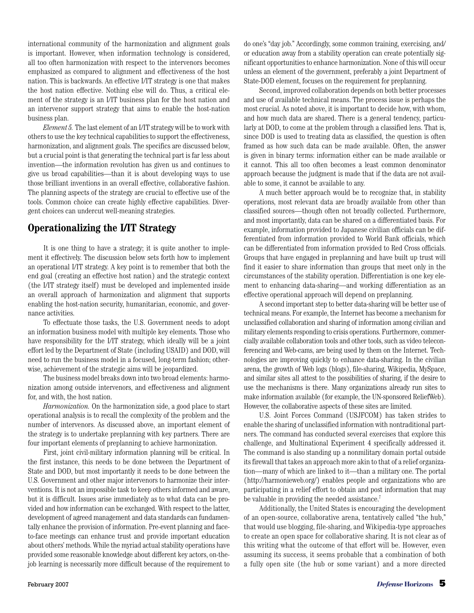international community of the harmonization and alignment goals is important. However, when information technology is considered, all too often harmonization with respect to the intervenors becomes emphasized as compared to alignment and effectiveness of the host nation. This is backwards. An effective I/IT strategy is one that makes the host nation effective. Nothing else will do. Thus, a critical element of the strategy is an I/IT business plan for the host nation and an intervenor support strategy that aims to enable the host-nation business plan.

*Element 5.* The last element of an I/IT strategy will be to work with others to use the key technical capabilities to support the effectiveness, harmonization, and alignment goals. The specifics are discussed below, but a crucial point is that generating the technical part is far less about invention—the information revolution has given us and continues to give us broad capabilities—than it is about developing ways to use those brilliant inventions in an overall effective, collaborative fashion. The planning aspects of the strategy are crucial to effective use of the tools. Common choice can create highly effective capabilities. Divergent choices can undercut well-meaning strategies.

#### **Operationalizing the I/IT Strategy**

It is one thing to have a strategy; it is quite another to implement it effectively. The discussion below sets forth how to implement an operational I/IT strategy. A key point is to remember that both the end goal (creating an effective host nation) and the strategic context (the I/IT strategy itself) must be developed and implemented inside an overall approach of harmonization and alignment that supports enabling the host-nation security, humanitarian, economic, and governance activities.

To effectuate those tasks, the U.S. Government needs to adopt an information business model with multiple key elements. Those who have responsibility for the I/IT strategy, which ideally will be a joint effort led by the Department of State (including USAID) and DOD, will need to run the business model in a focused, long-term fashion; otherwise, achievement of the strategic aims will be jeopardized.

The business model breaks down into two broad elements: harmonization among outside intervenors, and effectiveness and alignment for, and with, the host nation.

*Harmonization.* On the harmonization side, a good place to start operational analysis is to recall the complexity of the problem and the number of intervenors. As discussed above, an important element of the strategy is to undertake preplanning with key partners. There are four important elements of preplanning to achieve harmonization.

First, joint civil-military information planning will be critical. In the first instance, this needs to be done between the Department of State and DOD, but most importantly it needs to be done between the U.S. Government and other major intervenors to harmonize their interventions. It is not an impossible task to keep others informed and aware, but it is difficult. Issues arise immediately as to what data can be provided and how information can be exchanged. With respect to the latter, development of agreed management and data standards can fundamentally enhance the provision of information. Pre-event planning and faceto-face meetings can enhance trust and provide important education about others' methods. While the myriad actual stability operations have provided some reasonable knowledge about different key actors, on-thejob learning is necessarily more difficult because of the requirement to do one's "day job." Accordingly, some common training, exercising, and/ or education away from a stability operation can create potentially significant opportunities to enhance harmonization. None of this will occur unless an element of the government, preferably a joint Department of State-DOD element, focuses on the requirement for preplanning.

Second, improved collaboration depends on both better processes and use of available technical means. The process issue is perhaps the most crucial. As noted above, it is important to decide how, with whom, and how much data are shared. There is a general tendency, particularly at DOD, to come at the problem through a classified lens. That is, since DOD is used to treating data as classified, the question is often framed as how such data can be made available. Often, the answer is given in binary terms: information either can be made available or it cannot. This all too often becomes a least common denominator approach because the judgment is made that if the data are not available to some, it cannot be available to any.

A much better approach would be to recognize that, in stability operations, most relevant data are broadly available from other than classified sources—though often not broadly collected. Furthermore, and most importantly, data can be shared on a differentiated basis. For example, information provided to Japanese civilian officials can be differentiated from information provided to World Bank officials, which can be differentiated from information provided to Red Cross officials. Groups that have engaged in preplanning and have built up trust will find it easier to share information than groups that meet only in the circumstances of the stability operation. Differentiation is one key element to enhancing data-sharing—and working differentiation as an effective operational approach will depend on preplanning.

A second important step to better data-sharing will be better use of technical means. For example, the Internet has become a mechanism for unclassified collaboration and sharing of information among civilian and military elements responding to crisis operations. Furthermore, commercially available collaboration tools and other tools, such as video teleconferencing and Web-cams, are being used by them on the Internet. Technologies are improving quickly to enhance data-sharing. In the civilian arena, the growth of Web logs (blogs), file-sharing, Wikipedia, MySpace, and similar sites all attest to the possibilities of sharing, if the desire to use the mechanisms is there. Many organizations already run sites to make information available (for example, the UN-sponsored ReliefWeb). However, the collaborative aspects of these sites are limited.

U.S. Joint Forces Command (USJFCOM) has taken strides to enable the sharing of unclassified information with nontraditional partners. The command has conducted several exercises that explore this challenge, and Multinational Experiment 4 specifically addressed it. The command is also standing up a nonmilitary domain portal outside its firewall that takes an approach more akin to that of a relief organization—many of which are linked to it—than a military one. The portal [\(http://harmonieweb.org](http://harmonieweb.org)/) enables people and organizations who are participating in a relief effort to obtain and post information that may be valuable in providing the needed assistance.<sup>7</sup>

Additionally, the United States is encouraging the development of an open-source, collaborative arena, tentatively called "the hub," that would use blogging, file-sharing, and Wikipedia-type approaches to create an open space for collaborative sharing. It is not clear as of this writing what the outcome of that effort will be. However, even assuming its success, it seems probable that a combination of both a fully open site (the hub or some variant) and a more directed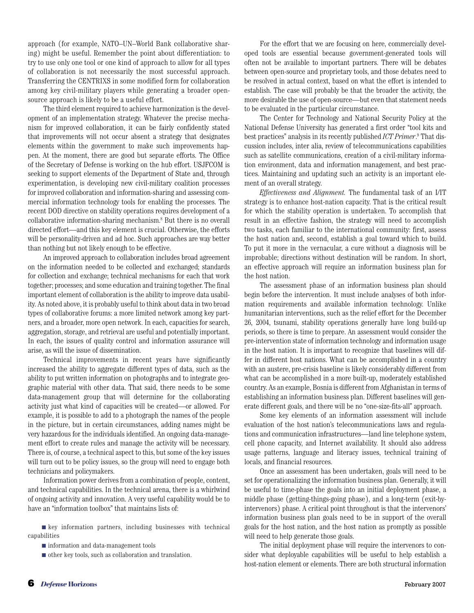approach (for example, NATO–UN–World Bank collaborative sharing) might be useful. Remember the point about differentiation: to try to use only one tool or one kind of approach to allow for all types of collaboration is not necessarily the most successful approach. Transferring the CENTRIXS in some modified form for collaboration among key civil-military players while generating a broader opensource approach is likely to be a useful effort.

The third element required to achieve harmonization is the development of an implementation strategy. Whatever the precise mechanism for improved collaboration, it can be fairly confidently stated that improvements will not occur absent a strategy that designates elements within the government to make such improvements happen. At the moment, there are good but separate efforts. The Office of the Secretary of Defense is working on the hub effort. USJFCOM is seeking to support elements of the Department of State and, through experimentation, is developing new civil-military coalition processes for improved collaboration and information-sharing and assessing commercial information technology tools for enabling the processes. The recent DOD directive on stability operations requires development of a collaborative information-sharing mechanism.8 But there is no overall directed effort—and this key element is crucial. Otherwise, the efforts will be personality-driven and ad hoc. Such approaches are way better than nothing but not likely enough to be effective.

An improved approach to collaboration includes broad agreement on the information needed to be collected and exchanged; standards for collection and exchange; technical mechanisms for each that work together; processes; and some education and training together. The final important element of collaboration is the ability to improve data usability. As noted above, it is probably useful to think about data in two broad types of collaborative forums: a more limited network among key partners, and a broader, more open network. In each, capacities for search, aggregation, storage, and retrieval are useful and potentially important. In each, the issues of quality control and information assurance will arise, as will the issue of dissemination.

Technical improvements in recent years have significantly increased the ability to aggregate different types of data, such as the ability to put written information on photographs and to integrate geographic material with other data. That said, there needs to be some data-management group that will determine for the collaborating activity just what kind of capacities will be created—or allowed. For example, it is possible to add to a photograph the names of the people in the picture, but in certain circumstances, adding names might be very hazardous for the individuals identified. An ongoing data-management effort to create rules and manage the activity will be necessary. There is, of course, a technical aspect to this, but some of the key issues will turn out to be policy issues, so the group will need to engage both technicians and policymakers.

Information power derives from a combination of people, content, and technical capabilities. In the technical arena, there is a whirlwind of ongoing activity and innovation. A very useful capability would be to have an "information toolbox" that maintains lists of:

■ key information partners, including businesses with technical capabilities

■ information and data-management tools

■ other key tools, such as collaboration and translation.

For the effort that we are focusing on here, commercially developed tools are essential because government-generated tools will often not be available to important partners. There will be debates between open-source and proprietary tools, and those debates need to be resolved in actual context, based on what the effort is intended to establish. The case will probably be that the broader the activity, the more desirable the use of open-source—but even that statement needs to be evaluated in the particular circumstance.

The Center for Technology and National Security Policy at the National Defense University has generated a first order "tool kits and best practices" analysis in its recently published *ICT Primer*. 9 That discussion includes, inter alia, review of telecommunications capabilities such as satellite communications, creation of a civil-military information environment, data and information management, and best practices. Maintaining and updating such an activity is an important element of an overall strategy.

*Effectiveness and Alignment.* The fundamental task of an I/IT strategy is to enhance host-nation capacity. That is the critical result for which the stability operation is undertaken. To accomplish that result in an effective fashion, the strategy will need to accomplish two tasks, each familiar to the international community: first, assess the host nation and, second, establish a goal toward which to build. To put it more in the vernacular, a cure without a diagnosis will be improbable; directions without destination will be random. In short, an effective approach will require an information business plan for the host nation.

The assessment phase of an information business plan should begin before the intervention. It must include analyses of both information requirements and available information technology. Unlike humanitarian interventions, such as the relief effort for the December 26, 2004, tsunami, stability operations generally have long build-up periods, so there is time to prepare. An assessment would consider the pre-intervention state of information technology and information usage in the host nation. It is important to recognize that baselines will differ in different host nations. What can be accomplished in a country with an austere, pre-crisis baseline is likely considerably different from what can be accomplished in a more built-up, moderately established country. As an example, Bosnia is different from Afghanistan in terms of establishing an information business plan. Different baselines will generate different goals, and there will be no "one-size-fits-all" approach.

Some key elements of an information assessment will include evaluation of the host nation's telecommunications laws and regulations and communication infrastructures—land line telephone system, cell phone capacity, and Internet availability. It should also address usage patterns, language and literacy issues, technical training of locals, and financial resources.

Once an assessment has been undertaken, goals will need to be set for operationalizing the information business plan. Generally, it will be useful to time-phase the goals into an initial deployment phase, a middle phase (getting-things-going phase), and a long-term (exit-byintervenors) phase. A critical point throughout is that the intervenors' information business plan goals need to be in support of the overall goals for the host nation, and the host nation as promptly as possible will need to help generate those goals.

The initial deployment phase will require the intervenors to consider what deployable capabilities will be useful to help establish a host-nation element or elements. There are both structural information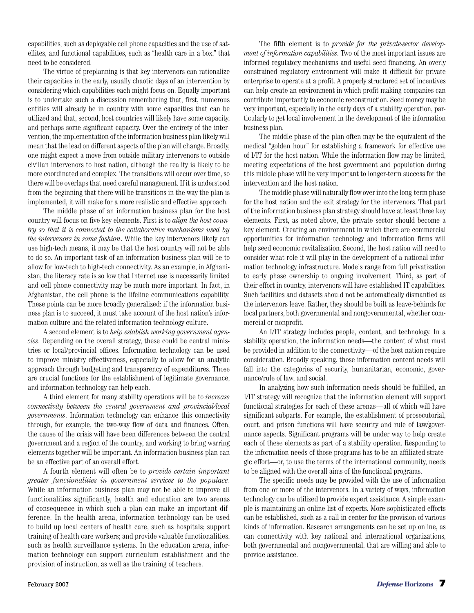capabilities, such as deployable cell phone capacities and the use of satellites, and functional capabilities, such as "health care in a box," that need to be considered.

The virtue of preplanning is that key intervenors can rationalize their capacities in the early, usually chaotic days of an intervention by considering which capabilities each might focus on. Equally important is to undertake such a discussion remembering that, first, numerous entities will already be in country with some capacities that can be utilized and that, second, host countries will likely have some capacity, and perhaps some significant capacity. Over the entirety of the intervention, the implementation of the information business plan likely will mean that the lead on different aspects of the plan will change. Broadly, one might expect a move from outside military intervenors to outside civilian intervenors to host nation, although the reality is likely to be more coordinated and complex. The transitions will occur over time, so there will be overlaps that need careful management. If it is understood from the beginning that there will be transitions in the way the plan is implemented, it will make for a more realistic and effective approach.

The middle phase of an information business plan for the host country will focus on five key elements. First is to *align the host country so that it is connected to the collaborative mechanisms used by the intervenors in some fashion*. While the key intervenors likely can use high-tech means, it may be that the host country will not be able to do so. An important task of an information business plan will be to allow for low-tech to high-tech connectivity. As an example, in Afghanistan, the literacy rate is so low that Internet use is necessarily limited and cell phone connectivity may be much more important. In fact, in Afghanistan, the cell phone is the lifeline communications capability. These points can be more broadly generalized: if the information business plan is to succeed, it must take account of the host nation's information culture and the related information technology culture.

A second element is to *help establish working government agencies*. Depending on the overall strategy, these could be central ministries or local/provincial offices. Information technology can be used to improve ministry effectiveness, especially to allow for an analytic approach through budgeting and transparency of expenditures. Those are crucial functions for the establishment of legitimate governance, and information technology can help each.

A third element for many stability operations will be to *increase connectivity between the central government and provincial/local governments*. Information technology can enhance this connectivity through, for example, the two-way flow of data and finances. Often, the cause of the crisis will have been differences between the central government and a region of the country, and working to bring warring elements together will be important. An information business plan can be an effective part of an overall effort.

A fourth element will often be to *provide certain important greater functionalities in government services to the populace*. While an information business plan may not be able to improve all functionalities significantly, health and education are two arenas of consequence in which such a plan can make an important difference. In the health arena, information technology can be used to build up local centers of health care, such as hospitals; support training of health care workers; and provide valuable functionalities, such as health surveillance systems. In the education arena, information technology can support curriculum establishment and the provision of instruction, as well as the training of teachers.

The fifth element is to *provide for the private-sector development of information capabilities*. Two of the most important issues are informed regulatory mechanisms and useful seed financing. An overly constrained regulatory environment will make it difficult for private enterprise to operate at a profit. A properly structured set of incentives can help create an environment in which profit-making companies can contribute importantly to economic reconstruction. Seed money may be very important, especially in the early days of a stability operation, particularly to get local involvement in the development of the information business plan.

The middle phase of the plan often may be the equivalent of the medical "golden hour" for establishing a framework for effective use of I/IT for the host nation. While the information flow may be limited, meeting expectations of the host government and population during this middle phase will be very important to longer-term success for the intervention and the host nation.

The middle phase will naturally flow over into the long-term phase for the host nation and the exit strategy for the intervenors. That part of the information business plan strategy should have at least three key elements. First, as noted above, the private sector should become a key element. Creating an environment in which there are commercial opportunities for information technology and information firms will help seed economic revitalization. Second, the host nation will need to consider what role it will play in the development of a national information technology infrastructure. Models range from full privatization to early phase ownership to ongoing involvement. Third, as part of their effort in country, intervenors will have established IT capabilities. Such facilities and datasets should not be automatically dismantled as the intervenors leave. Rather, they should be built as leave-behinds for local partners, both governmental and nongovernmental, whether commercial or nonprofit.

An I/IT strategy includes people, content, and technology. In a stability operation, the information needs—the content of what must be provided in addition to the connectivity—of the host nation require consideration. Broadly speaking, those information content needs will fall into the categories of security, humanitarian, economic, governance/rule of law, and social.

In analyzing how such information needs should be fulfilled, an I/IT strategy will recognize that the information element will support functional strategies for each of these arenas—all of which will have significant subparts. For example, the establishment of prosecutorial, court, and prison functions will have security and rule of law/governance aspects. Significant programs will be under way to help create each of these elements as part of a stability operation. Responding to the information needs of those programs has to be an affiliated strategic effort—or, to use the terms of the international community, needs to be aligned with the overall aims of the functional programs.

The specific needs may be provided with the use of information from one or more of the intervenors. In a variety of ways, information technology can be utilized to provide expert assistance. A simple example is maintaining an online list of experts. More sophisticated efforts can be established, such as a call-in center for the provision of various kinds of information. Research arrangements can be set up online, as can connectivity with key national and international organizations, both governmental and nongovernmental, that are willing and able to provide assistance.